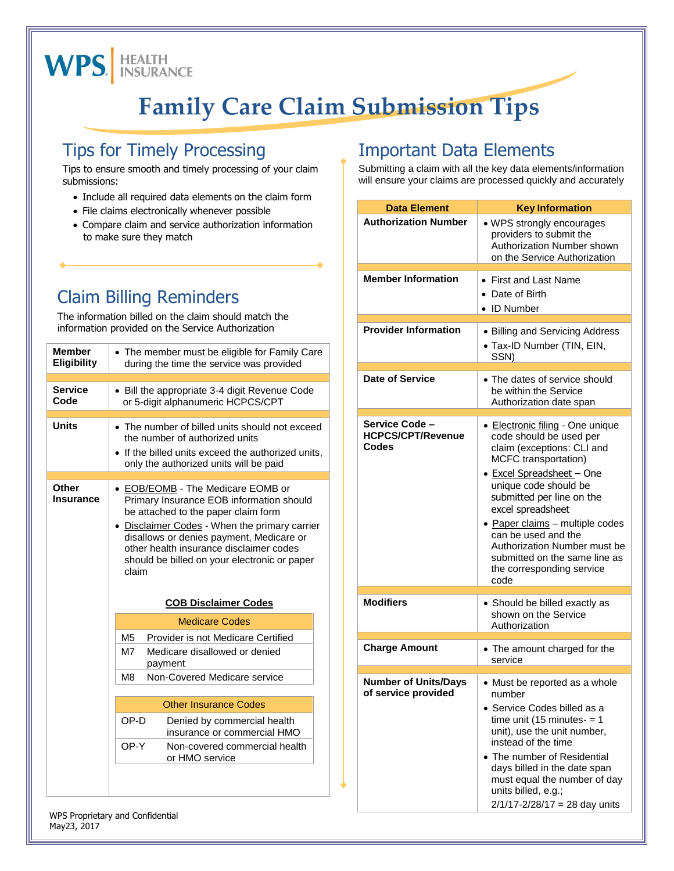

## **Family Care Claim Submission Tips**

### Tips for Timely Processing

Tips to ensure smooth and timely processing of your claim submissions:

- Include all required data elements on the claim form
- File claims electronically whenever possible
- Compare claim and service authorization information to make sure they match

### Claim Billing Reminders

The information billed on the claim should match the information provided on the Service Authorization

| <b>Member</b><br>Eligibility | • The member must be eligible for Family Care<br>during the time the service was provided                                                                                                                                                                                                                                                                   |  |
|------------------------------|-------------------------------------------------------------------------------------------------------------------------------------------------------------------------------------------------------------------------------------------------------------------------------------------------------------------------------------------------------------|--|
| <b>Service</b><br>Code       | • Bill the appropriate 3-4 digit Revenue Code<br>or 5-digit alphanumeric HCPCS/CPT                                                                                                                                                                                                                                                                          |  |
| <b>Units</b>                 | • The number of billed units should not exceed<br>the number of authorized units<br>• If the billed units exceed the authorized units,<br>only the authorized units will be paid                                                                                                                                                                            |  |
| Other                        |                                                                                                                                                                                                                                                                                                                                                             |  |
| Insurance                    | • <b>EOB/EOMB</b> - The Medicare EOMB or<br>Primary Insurance EOB information should<br>be attached to the paper claim form<br>• Disclaimer Codes - When the primary carrier<br>disallows or denies payment, Medicare or<br>other health insurance disclaimer codes<br>should be billed on your electronic or paper<br>claim<br><b>COB Disclaimer Codes</b> |  |
|                              | <b>Medicare Codes</b>                                                                                                                                                                                                                                                                                                                                       |  |
|                              | M <sub>5</sub><br>Provider is not Medicare Certified                                                                                                                                                                                                                                                                                                        |  |
|                              | Medicare disallowed or denied<br>M7<br>payment                                                                                                                                                                                                                                                                                                              |  |
|                              | Non-Covered Medicare service<br>M <sub>8</sub>                                                                                                                                                                                                                                                                                                              |  |
|                              | <b>Other Insurance Codes</b>                                                                                                                                                                                                                                                                                                                                |  |
|                              | OP-D<br>Denied by commercial health<br>insurance or commercial HMO                                                                                                                                                                                                                                                                                          |  |
|                              | OP-Y<br>Non-covered commercial health<br>or HMO service                                                                                                                                                                                                                                                                                                     |  |
|                              |                                                                                                                                                                                                                                                                                                                                                             |  |

### Important Data Elements

Submitting a claim with all the key data elements/information will ensure your claims are processed quickly and accurately

| <b>Data Element</b>                                 | <b>Key Information</b>                                                                                                                                                                                                                                                                                                                                                                    |
|-----------------------------------------------------|-------------------------------------------------------------------------------------------------------------------------------------------------------------------------------------------------------------------------------------------------------------------------------------------------------------------------------------------------------------------------------------------|
| <b>Authorization Number</b>                         | • WPS strongly encourages<br>providers to submit the<br>Authorization Number shown<br>on the Service Authorization                                                                                                                                                                                                                                                                        |
| <b>Member Information</b>                           | • First and Last Name<br>• Date of Birth<br>• ID Number                                                                                                                                                                                                                                                                                                                                   |
| <b>Provider Information</b>                         | • Billing and Servicing Address<br>• Tax-ID Number (TIN, EIN,<br>SSN)                                                                                                                                                                                                                                                                                                                     |
| Date of Service                                     | • The dates of service should<br>be within the Service<br>Authorization date span                                                                                                                                                                                                                                                                                                         |
| Service Code -<br><b>HCPCS/CPT/Revenue</b><br>Codes | • Electronic filing - One unique<br>code should be used per<br>claim (exceptions: CLI and<br>MCFC transportation)<br>• Excel Spreadsheet - One<br>unique code should be<br>submitted per line on the<br>excel spreadsheet<br>· Paper claims - multiple codes<br>can be used and the<br>Authorization Number must be<br>submitted on the same line as<br>the corresponding service<br>code |
| <b>Modifiers</b>                                    | • Should be billed exactly as<br>shown on the Service<br>Authorization                                                                                                                                                                                                                                                                                                                    |
| <b>Charge Amount</b>                                | • The amount charged for the<br>service                                                                                                                                                                                                                                                                                                                                                   |
| <b>Number of Units/Days</b><br>of service provided  | • Must be reported as a whole<br>number<br>• Service Codes billed as a<br>time unit (15 minutes- $= 1$<br>unit), use the unit number,<br>instead of the time<br>The number of Residential<br>days billed in the date span<br>must equal the number of day<br>units billed, e.g.;<br>$2/1/17 - 2/28/17 = 28$ day units                                                                     |

WPS Proprietary and Confidential May23, 2017